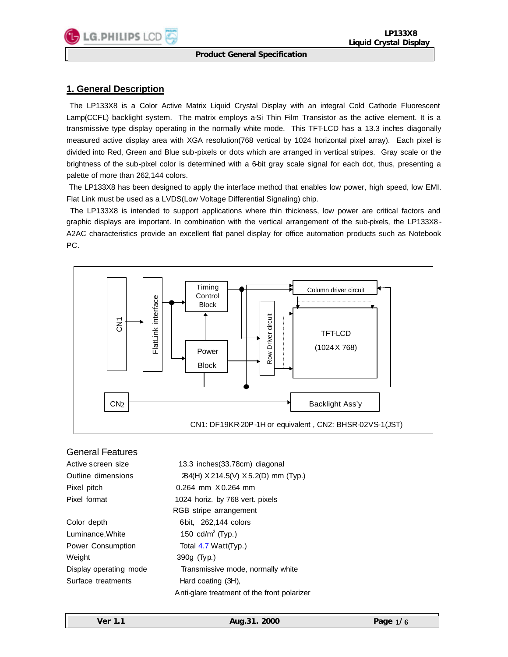

### **Liquid Crystal Display Product General Specification**

 **LP133X8**

## **1. General Description**

The LP133X8 is a Color Active Matrix Liquid Crystal Display with an integral Cold Cathode Fluorescent Lamp(CCFL) backlight system. The matrix employs a-Si Thin Film Transistor as the active element. It is a transmissive type display operating in the normally white mode. This TFT-LCD has a 13.3 inches diagonally measured active display area with XGA resolution(768 vertical by 1024 horizontal pixel array). Each pixel is divided into Red, Green and Blue sub-pixels or dots which are arranged in vertical stripes. Gray scale or the brightness of the sub-pixel color is determined with a 6-bit gray scale signal for each dot, thus, presenting a palette of more than 262,144 colors.

 The LP133X8 has been designed to apply the interface method that enables low power, high speed, low EMI. Flat Link must be used as a LVDS(Low Voltage Differential Signaling) chip.

 The LP133X8 is intended to support applications where thin thickness, low power are critical factors and graphic displays are important. In combination with the vertical arrangement of the sub-pixels, the LP133X8 - A2AC characteristics provide an excellent flat panel display for office automation products such as Notebook PC.



### General Features

| Active screen size       | 13.3 inches(33.78cm) diagonal               |
|--------------------------|---------------------------------------------|
| Outline dimensions       | 284(H) X 214.5(V) X 5.2(D) mm (Typ.)        |
| Pixel pitch              | 0.264 mm X0.264 mm                          |
| Pixel format             | 1024 horiz. by 768 vert. pixels             |
|                          | RGB stripe arrangement                      |
| Color depth              | 6bit, 262,144 colors                        |
| Luminance, White         | 150 cd/m <sup>2</sup> (Typ.)                |
| <b>Power Consumption</b> | Total $4.7$ Watt(Typ.)                      |
| Weight                   | 390g (Typ.)                                 |
| Display operating mode   | Transmissive mode, normally white           |
| Surface treatments       | Hard coating (3H),                          |
|                          | Anti-glare treatment of the front polarizer |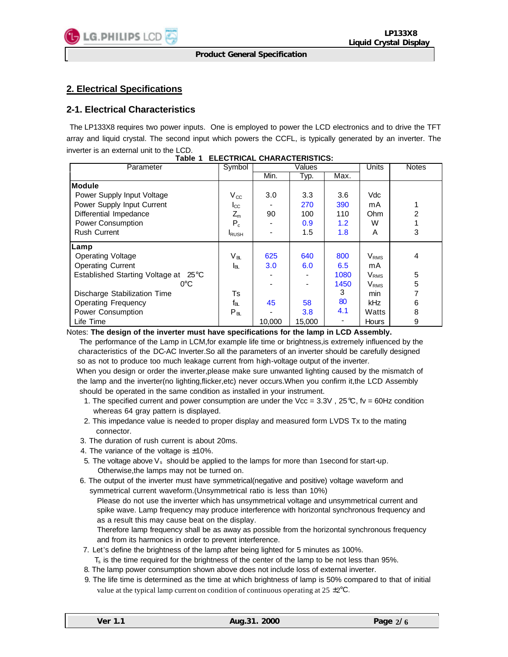

# **2. Electrical Specifications**

## **2-1. Electrical Characteristics**

The LP133X8 requires two power inputs. One is employed to power the LCD electronics and to drive the TFT array and liquid crystal. The second input which powers the CCFL, is typically generated by an inverter. The inverter is an external unit to the LCD.

| Parameter                            | Symbol        | Values |        |               | Units                   | <b>Notes</b> |
|--------------------------------------|---------------|--------|--------|---------------|-------------------------|--------------|
|                                      |               | Min.   | Typ.   | Max.          |                         |              |
| <b>Module</b>                        |               |        |        |               |                         |              |
| Power Supply Input Voltage           | $V_{\rm CC}$  | 3.0    | 3.3    | 3.6           | Vdc                     |              |
| Power Supply Input Current           | $I_{\rm CC}$  |        | 270    | 390           | mA                      |              |
| Differential Impedance               | $Z_m$         | 90     | 100    | 110           | Ohm                     | 2            |
| <b>Power Consumption</b>             | $P_c$         |        | 0.9    | $1.2^{\circ}$ | W                       |              |
| <b>Rush Current</b>                  | <b>I</b> RUSH |        | 1.5    | 1.8           | A                       | 3            |
| Lamp                                 |               |        |        |               |                         |              |
| <b>Operating Voltage</b>             | Vங            | 625    | 640    | 800           | <b>V</b> <sub>RMS</sub> | 4            |
| <b>Operating Current</b>             | la.           | 3.0    | 6.0    | 6.5           | mA                      |              |
| Established Starting Voltage at 25°C |               |        |        | 1080          | <b>V</b> <sub>RMS</sub> | 5            |
| $0^{\circ}$ C                        |               |        |        | 1450          | <b>V</b> <sub>RMS</sub> | 5            |
| Discharge Stabilization Time         | Ts            |        |        | 3             | min                     |              |
| <b>Operating Frequency</b>           | fв∟           | 45     | 58     | 80            | <b>kHz</b>              | 6            |
| <b>Power Consumption</b>             | $P_{B}$       |        | 3.8    | 4.1           | Watts                   | 8            |
| Life Time                            |               | 10.000 | 15.000 |               | <b>Hours</b>            | 9            |

| Table 1 ELECTRICAL CHARACTERISTICS: |
|-------------------------------------|
|                                     |

#### Notes: **The design of the inverter must have specifications for the lamp in LCD Assembly.**

 The performance of the Lamp in LCM,for example life time or brightness,is extremely influenced by the characteristics of the DC-AC Inverter.So all the parameters of an inverter should be carefully designed so as not to produce too much leakage current from high-voltage output of the inverter.

 When you design or order the inverter,please make sure unwanted lighting caused by the mismatch of the lamp and the inverter(no lighting,flicker,etc) never occurs.When you confirm it,the LCD Assembly should be operated in the same condition as installed in your instrument.

- 1. The specified current and power consumption are under the Vcc =  $3.3V$ ,  $25^{\circ}$ C, fv = 60Hz condition whereas 64 gray pattern is displayed.
- 2. This impedance value is needed to proper display and measured form LVDS Tx to the mating connector.
- 3. The duration of rush current is about 20ms.
- 4. The variance of the voltage is  $\pm 10\%$ .
- 5. The voltage above  $V_s$  should be applied to the lamps for more than 1second for start-up. Otherwise,the lamps may not be turned on.
- 6. The output of the inverter must have symmetrical(negative and positive) voltage waveform and symmetrical current waveform.(Unsymmetrical ratio is less than 10%)
	- Please do not use the inverter which has unsymmetrical voltage and unsymmetrical current and spike wave. Lamp frequency may produce interference with horizontal synchronous frequency and as a result this may cause beat on the display.
	- Therefore lamp frequency shall be as away as possible from the horizontal synchronous frequency and from its harmonics in order to prevent interference.
- 7. Let's define the brightness of the lamp after being lighted for 5 minutes as 100%.
- $T<sub>s</sub>$  is the time required for the brightness of the center of the lamp to be not less than 95%.
	- 8. The lamp power consumption shown above does not include loss of external inverter.
	- 9. The life time is determined as the time at which brightness of lamp is 50% compared to that of initial value at the typical lamp current on condition of continuous operating at  $25 \pm 2^{\circ}C$ .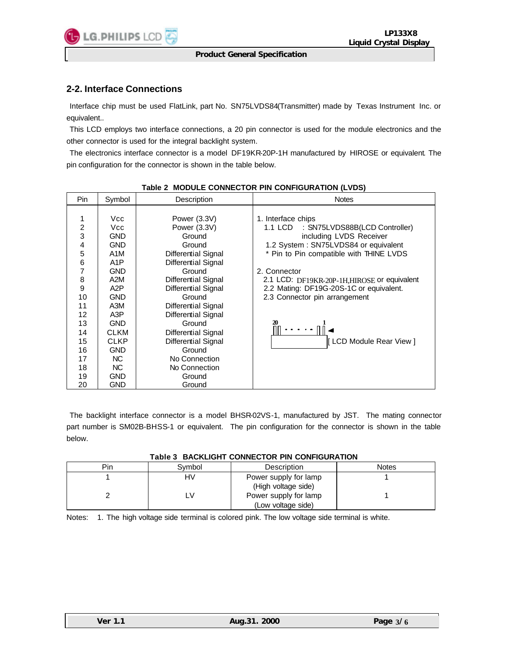

# **2-2. Interface Connections**

Interface chip must be used FlatLink, part No. SN75LVDS84(Transmitter) made by Texas Instrument Inc. or equivalent..

This LCD employs two interface connections, a 20 pin connector is used for the module electronics and the other connector is used for the integral backlight system.

The electronics interface connector is a model DF19KR-20P-1H manufactured by HIROSE or equivalent. The pin configuration for the connector is shown in the table below.

| Pin               | Symbol           | Description         | <b>Notes</b>                                 |  |
|-------------------|------------------|---------------------|----------------------------------------------|--|
| 1                 | Vcc.             | Power (3.3V)        | 1. Interface chips                           |  |
| $\overline{2}$    | Vcc.             | Power (3.3V)        | 1.1 LCD<br>: SN75LVDS88B(LCD Controller)     |  |
| 3                 | <b>GND</b>       | Ground              | including LVDS Receiver                      |  |
| 4                 | <b>GND</b>       | Ground              | 1.2 System: SN75LVDS84 or equivalent         |  |
| 5                 | A1M              | Differential Signal | * Pin to Pin compatible with THINE LVDS      |  |
| 6                 | A <sub>1</sub> P | Differential Signal |                                              |  |
| 7                 | <b>GND</b>       | Ground              | 2. Connector                                 |  |
| 8                 | A2M              | Differential Signal | 2.1 LCD: DF19KR-20P-1H, HIROSE or equivalent |  |
| 9                 | A2P              | Differential Signal | 2.2 Mating: DF19G-20S-1C or equivalent.      |  |
| 10                | <b>GND</b>       | Ground              | 2.3 Connector pin arrangement                |  |
| 11                | A3M              | Differential Signal |                                              |  |
| $12 \overline{ }$ | A3P              | Differential Signal |                                              |  |
| 13                | <b>GND</b>       | Ground              | 20                                           |  |
| 14                | CLKM             | Differential Signal |                                              |  |
| 15                | <b>CLKP</b>      | Differential Signal | [LCD Module Rear View]                       |  |
| 16                | <b>GND</b>       | Ground              |                                              |  |
| 17                | NC.              | No Connection       |                                              |  |
| 18                | NC.              | No Connection       |                                              |  |
| 19                | <b>GND</b>       | Ground              |                                              |  |
| 20                | GND              | Ground              |                                              |  |

### **Table 2 MODULE CONNECTOR PIN CONFIGURATION (LVDS)**

The backlight interface connector is a model BHSR-02VS-1, manufactured by JST. The mating connector part number is SM02B-BHSS-1 or equivalent. The pin configuration for the connector is shown in the table below.

#### **Table 3 BACKLIGHT CONNECTOR PIN CONFIGURATION**

| Pin | Svmbol | Description           | <b>Notes</b> |
|-----|--------|-----------------------|--------------|
|     | HV     | Power supply for lamp |              |
|     |        | (High voltage side)   |              |
|     |        | Power supply for lamp |              |
|     |        | (Low voltage side)    |              |

Notes: 1. The high voltage side terminal is colored pink. The low voltage side terminal is white.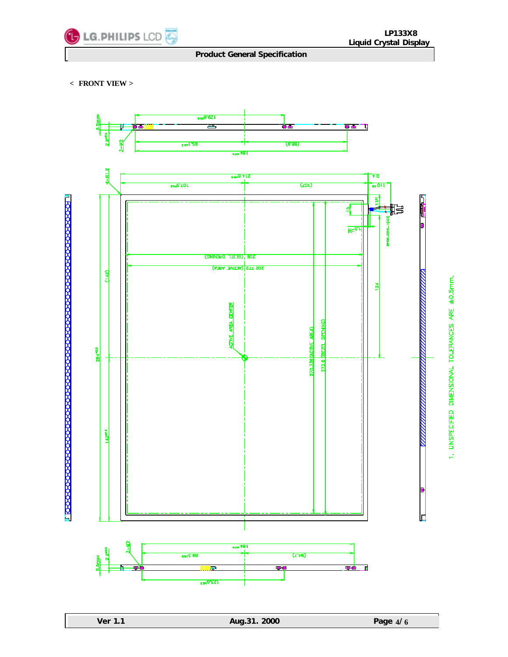

## **< FRONT VIEW >**

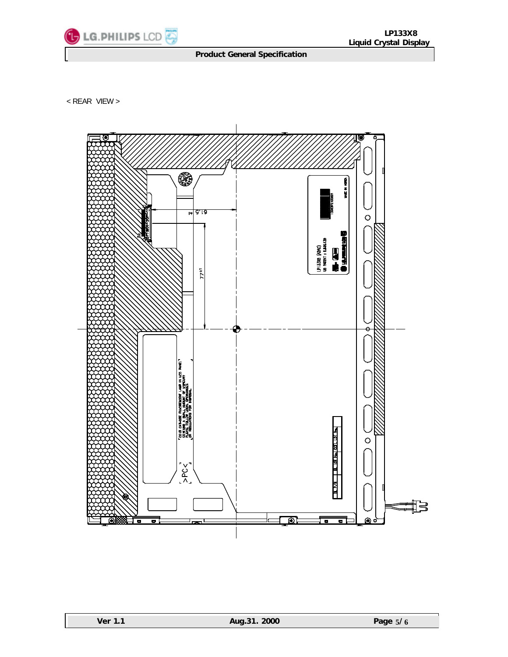

< REAR VIEW >